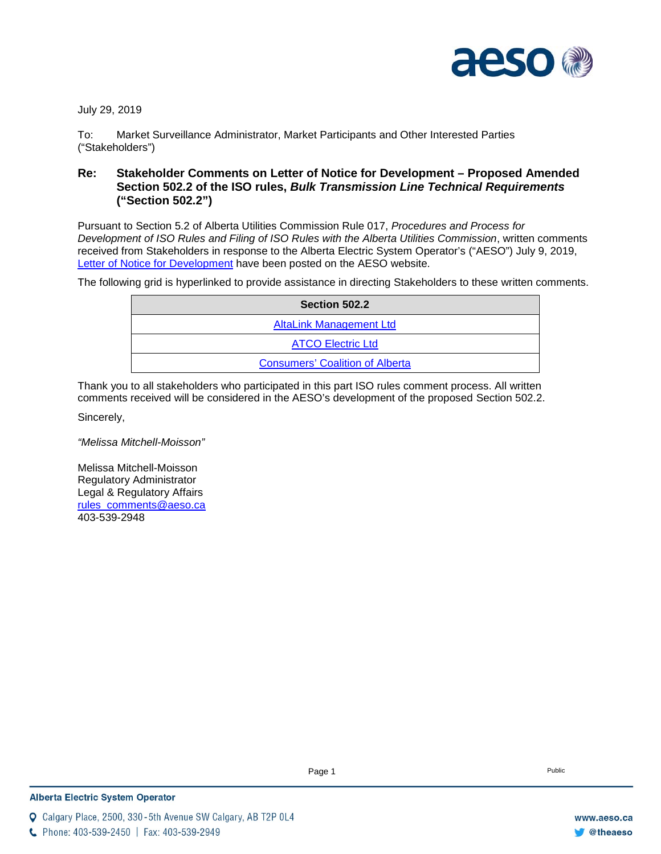

July 29, 2019

To: Market Surveillance Administrator, Market Participants and Other Interested Parties ("Stakeholders")

## **Re: Stakeholder Comments on Letter of Notice for Development – Proposed Amended Section 502.2 of the ISO rules,** *Bulk Transmission Line Technical Requirements*  **("Section 502.2")**

Pursuant to Section 5.2 of Alberta Utilities Commission Rule 017, *Procedures and Process for Development of ISO Rules and Filing of ISO Rules with the Alberta Utilities Commission*, written comments received from Stakeholders in response to the Alberta Electric System Operator's ("AESO") July 9, 2019, [Letter of Notice for Development](https://www.aeso.ca/assets/Uploads/502.2-Bulk-Tx-Letter-of-Notice-Stage-1.pdf) have been posted on the AESO website.

The following grid is hyperlinked to provide assistance in directing Stakeholders to these written comments.

| Section 502.2                          |
|----------------------------------------|
| <b>AltaLink Management Ltd</b>         |
| <b>ATCO Electric Ltd</b>               |
| <b>Consumers' Coalition of Alberta</b> |

Thank you to all stakeholders who participated in this part ISO rules comment process. All written comments received will be considered in the AESO's development of the proposed Section 502.2.

Sincerely,

*"Melissa Mitchell-Moisson"*

Melissa Mitchell-Moisson Regulatory Administrator Legal & Regulatory Affairs [rules\\_comments@aeso.ca](mailto:rules_comments@aeso.ca) 403-539-2948

Calgary Place, 2500, 330-5th Avenue SW Calgary, AB T2P 0L4

C Phone: 403-539-2450 | Fax: 403-539-2949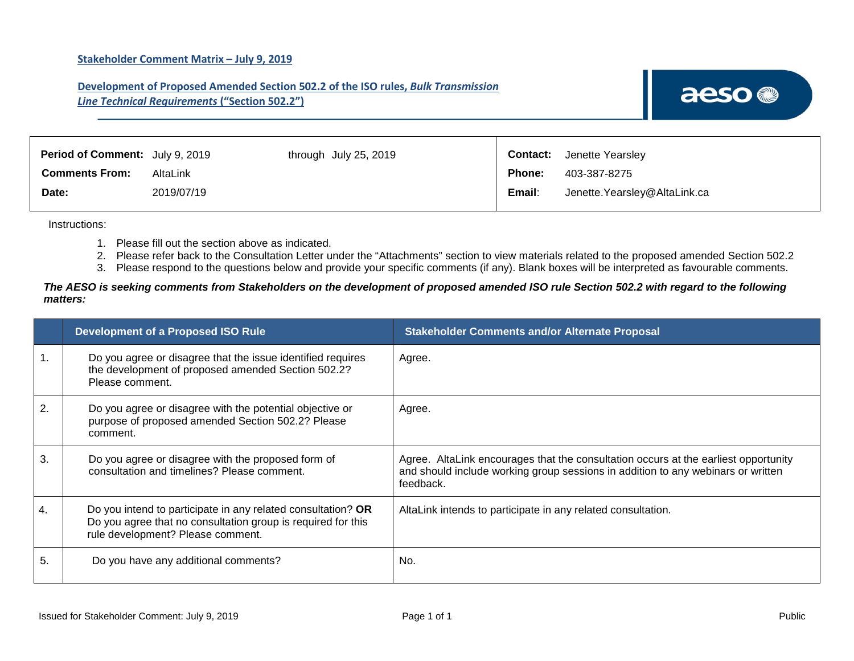### <span id="page-1-0"></span>**Stakeholder Comment Matrix – July 9, 2019**

## **Development of Proposed Amended Section 502.2 of the ISO rules,** *Bulk Transmission Line Technical Requirements* **("Section 502.2")**

# aeso<sup>®</sup>

| <b>Period of Comment:</b> July 9, 2019 |            | through July 25, 2019 |        | <b>Contact:</b> Jenette Yearsley |
|----------------------------------------|------------|-----------------------|--------|----------------------------------|
| <b>Comments From:</b>                  | AltaLink   |                       | Phone: | 403-387-8275                     |
| Date:                                  | 2019/07/19 |                       | Email: | Jenette. Yearsley@AltaLink.ca    |

Instructions:

- 1. Please fill out the section above as indicated.
- 2. Please refer back to the Consultation Letter under the "Attachments" section to view materials related to the proposed amended Section 502.2
- 3. Please respond to the questions below and provide your specific comments (if any). Blank boxes will be interpreted as favourable comments.

### *The AESO is seeking comments from Stakeholders on the development of proposed amended ISO rule Section 502.2 with regard to the following matters:*

|              | <b>Development of a Proposed ISO Rule</b>                                                                                                                         | <b>Stakeholder Comments and/or Alternate Proposal</b>                                                                                                                                |
|--------------|-------------------------------------------------------------------------------------------------------------------------------------------------------------------|--------------------------------------------------------------------------------------------------------------------------------------------------------------------------------------|
|              | Do you agree or disagree that the issue identified requires<br>the development of proposed amended Section 502.2?<br>Please comment.                              | Agree.                                                                                                                                                                               |
| $\mathbf{2}$ | Do you agree or disagree with the potential objective or<br>purpose of proposed amended Section 502.2? Please<br>comment.                                         | Agree.                                                                                                                                                                               |
| 3.           | Do you agree or disagree with the proposed form of<br>consultation and timelines? Please comment.                                                                 | Agree. AltaLink encourages that the consultation occurs at the earliest opportunity<br>and should include working group sessions in addition to any webinars or written<br>feedback. |
| 4.           | Do you intend to participate in any related consultation? OR<br>Do you agree that no consultation group is required for this<br>rule development? Please comment. | AltaLink intends to participate in any related consultation.                                                                                                                         |
| 5.           | Do you have any additional comments?                                                                                                                              | No.                                                                                                                                                                                  |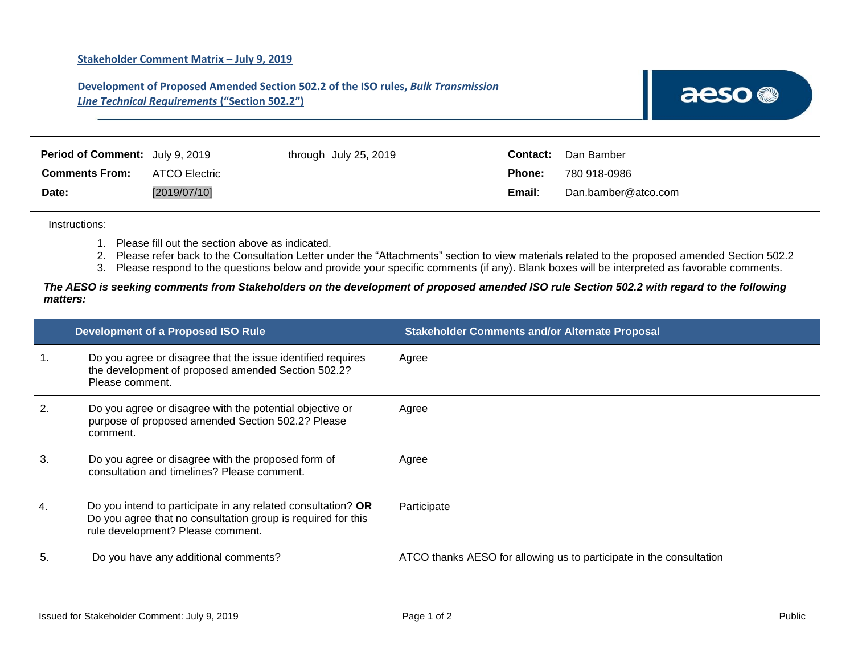### <span id="page-2-0"></span>**Stakeholder Comment Matrix – July 9, 2019**

## **Development of Proposed Amended Section 502.2 of the ISO rules,** *Bulk Transmission Line Technical Requirements* **("Section 502.2")**

# aeso<sup>®</sup>

| <b>Period of Comment:</b> July 9, 2019 |                      | through July 25, 2019 | <b>Contact:</b> | Dan Bamber          |
|----------------------------------------|----------------------|-----------------------|-----------------|---------------------|
| <b>Comments From:</b>                  | <b>ATCO Electric</b> |                       | <b>Phone:</b>   | 780 918-0986        |
| Date:                                  | [2019/07/10]         |                       | Email:          | Dan.bamber@atco.com |

Instructions:

- 1. Please fill out the section above as indicated.
- 2. Please refer back to the Consultation Letter under the "Attachments" section to view materials related to the proposed amended Section 502.2
- 3. Please respond to the questions below and provide your specific comments (if any). Blank boxes will be interpreted as favorable comments.

### *The AESO is seeking comments from Stakeholders on the development of proposed amended ISO rule Section 502.2 with regard to the following matters:*

|    | <b>Development of a Proposed ISO Rule</b>                                                                                                                         | <b>Stakeholder Comments and/or Alternate Proposal</b>               |
|----|-------------------------------------------------------------------------------------------------------------------------------------------------------------------|---------------------------------------------------------------------|
|    | Do you agree or disagree that the issue identified requires<br>the development of proposed amended Section 502.2?<br>Please comment.                              | Agree                                                               |
| 2  | Do you agree or disagree with the potential objective or<br>purpose of proposed amended Section 502.2? Please<br>comment.                                         | Agree                                                               |
| 3. | Do you agree or disagree with the proposed form of<br>consultation and timelines? Please comment.                                                                 | Agree                                                               |
| 4. | Do you intend to participate in any related consultation? OR<br>Do you agree that no consultation group is required for this<br>rule development? Please comment. | Participate                                                         |
| 5. | Do you have any additional comments?                                                                                                                              | ATCO thanks AESO for allowing us to participate in the consultation |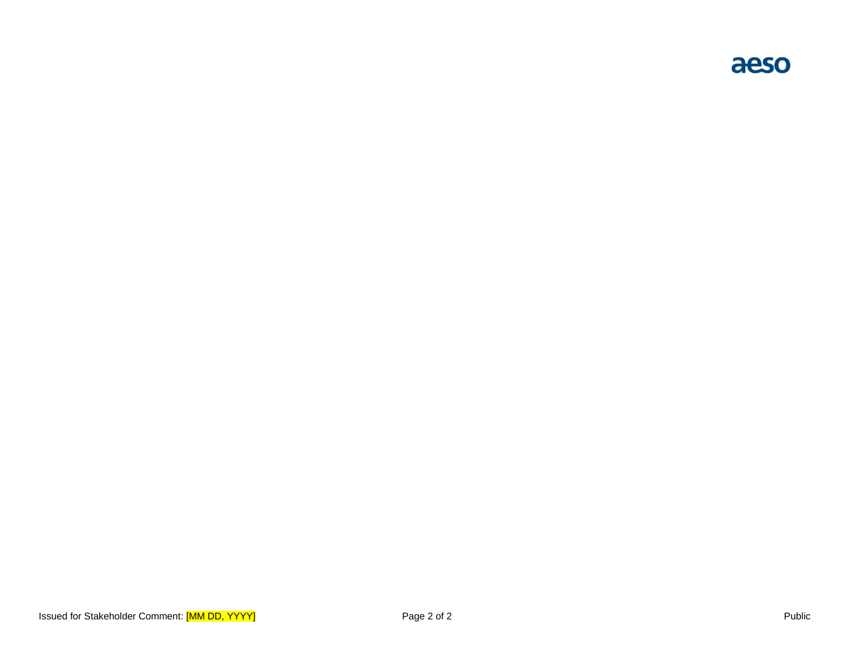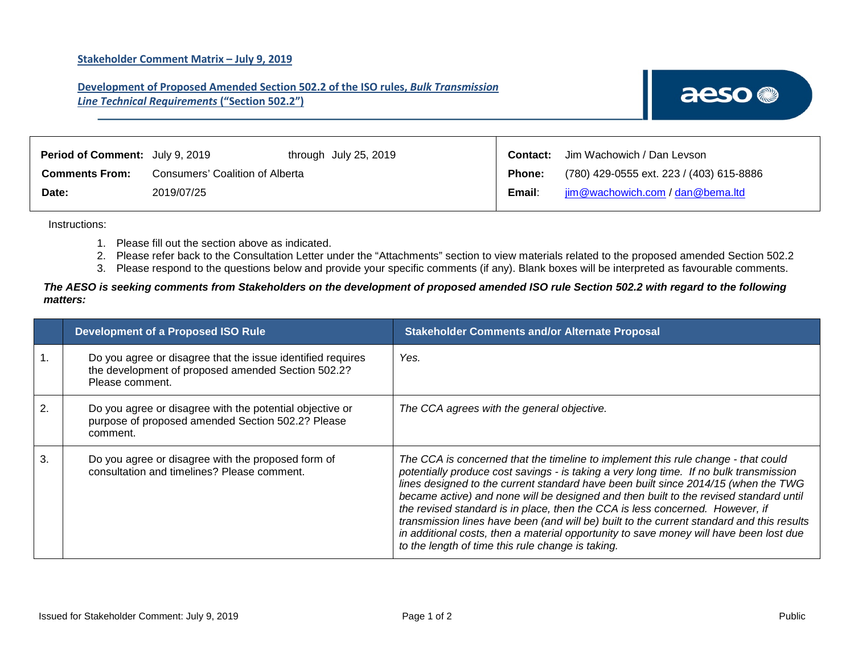## <span id="page-4-0"></span>**Stakeholder Comment Matrix – July 9, 2019**

## **Development of Proposed Amended Section 502.2 of the ISO rules,** *Bulk Transmission Line Technical Requirements* **("Section 502.2")**

# aeso<sup>®</sup>

| <b>Period of Comment:</b> July 9, 2019 |                                 | through July 25, 2019 | Contact:      | Jim Wachowich / Dan Levson               |
|----------------------------------------|---------------------------------|-----------------------|---------------|------------------------------------------|
| <b>Comments From:</b>                  | Consumers' Coalition of Alberta |                       | <b>Phone:</b> | (780) 429-0555 ext. 223 / (403) 615-8886 |
| Date:                                  | 2019/07/25                      |                       | Email:        | jim@wachowich.com / dan@bema.ltd         |

Instructions:

- 1. Please fill out the section above as indicated.
- 2. Please refer back to the Consultation Letter under the "Attachments" section to view materials related to the proposed amended Section 502.2
- 3. Please respond to the questions below and provide your specific comments (if any). Blank boxes will be interpreted as favourable comments.

### *The AESO is seeking comments from Stakeholders on the development of proposed amended ISO rule Section 502.2 with regard to the following matters:*

|    | <b>Development of a Proposed ISO Rule</b>                                                                                            | <b>Stakeholder Comments and/or Alternate Proposal</b>                                                                                                                                                                                                                                                                                                                                                                                                                                                                                                                                                                                                                                   |
|----|--------------------------------------------------------------------------------------------------------------------------------------|-----------------------------------------------------------------------------------------------------------------------------------------------------------------------------------------------------------------------------------------------------------------------------------------------------------------------------------------------------------------------------------------------------------------------------------------------------------------------------------------------------------------------------------------------------------------------------------------------------------------------------------------------------------------------------------------|
|    | Do you agree or disagree that the issue identified requires<br>the development of proposed amended Section 502.2?<br>Please comment. | Yes.                                                                                                                                                                                                                                                                                                                                                                                                                                                                                                                                                                                                                                                                                    |
| 2. | Do you agree or disagree with the potential objective or<br>purpose of proposed amended Section 502.2? Please<br>comment.            | The CCA agrees with the general objective.                                                                                                                                                                                                                                                                                                                                                                                                                                                                                                                                                                                                                                              |
| 3. | Do you agree or disagree with the proposed form of<br>consultation and timelines? Please comment.                                    | The CCA is concerned that the timeline to implement this rule change - that could<br>potentially produce cost savings - is taking a very long time. If no bulk transmission<br>lines designed to the current standard have been built since 2014/15 (when the TWG<br>became active) and none will be designed and then built to the revised standard until<br>the revised standard is in place, then the CCA is less concerned. However, if<br>transmission lines have been (and will be) built to the current standard and this results<br>in additional costs, then a material opportunity to save money will have been lost due<br>to the length of time this rule change is taking. |